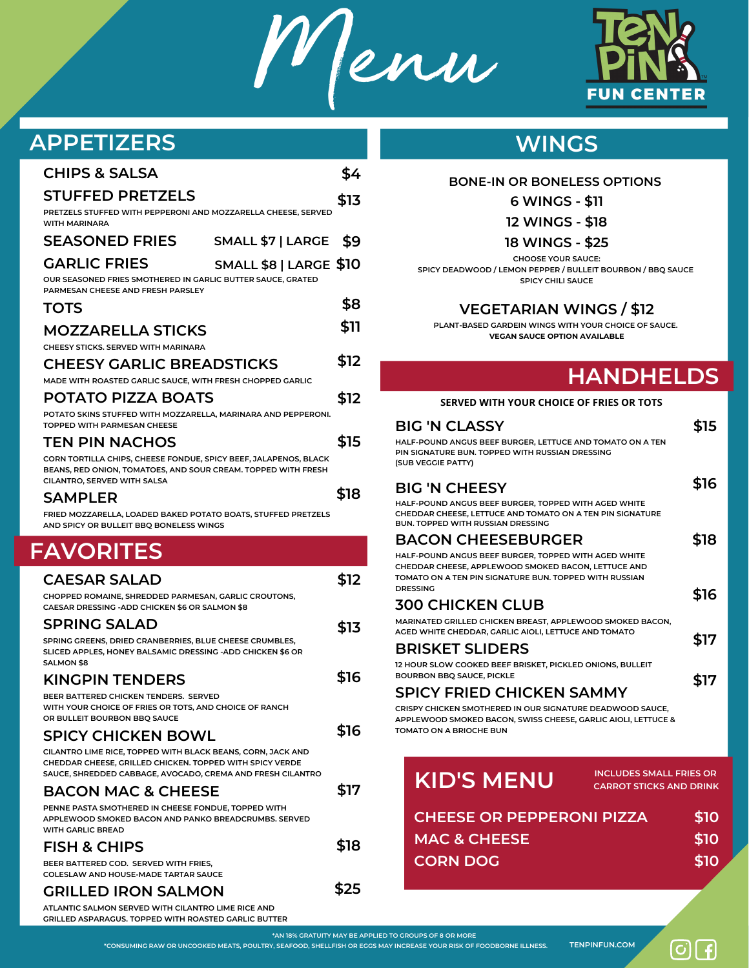Menu



# **APPETIZERS**

| <b>CHIPS &amp; SALSA</b>                                                                                                          | \$4  | BOI                                                                  |
|-----------------------------------------------------------------------------------------------------------------------------------|------|----------------------------------------------------------------------|
| <b>STUFFED PRETZELS</b><br>PRETZELS STUFFED WITH PEPPERONI AND MOZZARELLA CHEESE, SERVED                                          | \$13 |                                                                      |
| WITH MARINARA<br><b>SEASONED FRIES</b><br>SMALL \$7   LARGE                                                                       | \$9  |                                                                      |
| <b>GARLIC FRIES</b>                                                                                                               |      |                                                                      |
| <b>SMALL \$8   LARGE \$10</b><br>OUR SEASONED FRIES SMOTHERED IN GARLIC BUTTER SAUCE, GRATED<br>PARMESAN CHEESE AND FRESH PARSLEY |      | <b>SPICY DEADV</b>                                                   |
| <b>TOTS</b>                                                                                                                       | \$8  |                                                                      |
| <b>MOZZARELLA STICKS</b>                                                                                                          | \$11 | PLANT-BA                                                             |
| CHEESY STICKS, SERVED WITH MARINARA<br><b>CHEESY GARLIC BREADSTICKS</b>                                                           | \$12 |                                                                      |
| MADE WITH ROASTED GARLIC SAUCE, WITH FRESH CHOPPED GARLIC                                                                         |      |                                                                      |
| <b>POTATO PIZZA BOATS</b>                                                                                                         | \$12 | <b>SERVE</b>                                                         |
| POTATO SKINS STUFFED WITH MOZZARELLA, MARINARA AND PEPPERONI.<br>TOPPED WITH PARMESAN CHEESE                                      |      | <b>BIG 'N CLA</b>                                                    |
| <b>TEN PIN NACHOS</b>                                                                                                             | \$15 | HALF-POUND ANGL                                                      |
| CORN TORTILLA CHIPS, CHEESE FONDUE, SPICY BEEF, JALAPENOS, BLACK<br>BEANS, RED ONION, TOMATOES, AND SOUR CREAM. TOPPED WITH FRESH |      | PIN SIGNATURE BUI<br>(SUB VEGGIE PATTY                               |
| CILANTRO, SERVED WITH SALSA<br><b>SAMPLER</b>                                                                                     | \$18 | <b>BIG 'N CHI</b>                                                    |
| FRIED MOZZARELLA, LOADED BAKED POTATO BOATS, STUFFED PRETZELS<br>AND SPICY OR BULLEIT BBQ BONELESS WINGS                          |      | HALF-POUND ANGL<br><b>CHEDDAR CHEESE,</b><br><b>BUN. TOPPED WITH</b> |
|                                                                                                                                   |      | <b>BACON CI</b>                                                      |
| <b>FAVORITES</b>                                                                                                                  |      | HALF-POUND ANGL<br>CHEDDAR CHEESE,                                   |
| <b>CAESAR SALAD</b>                                                                                                               | \$12 | TOMATO ON A TEN<br><b>DRESSING</b>                                   |
| CHOPPED ROMAINE, SHREDDED PARMESAN, GARLIC CROUTONS,<br>CAESAR DRESSING - ADD CHICKEN \$6 OR SALMON \$8                           |      | <b>300 CHICK</b>                                                     |
| <b>SPRING SALAD</b>                                                                                                               | \$13 | <b>MARINATED GRILLE</b><br><b>AGED WHITE CHED</b>                    |
| SPRING GREENS, DRIED CRANBERRIES, BLUE CHEESE CRUMBLES,<br>SLICED APPLES, HONEY BALSAMIC DRESSING -ADD CHICKEN \$6 OR             |      | <b>BRISKET S</b>                                                     |
| <b>SALMON \$8</b><br><b>KINGPIN TENDERS</b>                                                                                       | \$16 | 12 HOUR SLOW COO<br><b>BOURBON BBQ SAL</b>                           |
| BEER BATTERED CHICKEN TENDERS. SERVED<br>WITH YOUR CHOICE OF FRIES OR TOTS, AND CHOICE OF RANCH                                   |      | <b>SPICY FRI</b><br><b>CRISPY CHICKEN SN</b>                         |
| OR BULLEIT BOURBON BBQ SAUCE                                                                                                      | \$16 | <b>APPLEWOOD SMOK</b><br><b>TOMATO ON A BRIC</b>                     |
| <b>SPICY CHICKEN BOWL</b><br>CILANTRO LIME RICE, TOPPED WITH BLACK BEANS, CORN, JACK AND                                          |      |                                                                      |
| CHEDDAR CHEESE, GRILLED CHICKEN. TOPPED WITH SPICY VERDE<br>SAUCE, SHREDDED CABBAGE, AVOCADO, CREMA AND FRESH CILANTRO            |      |                                                                      |
|                                                                                                                                   |      |                                                                      |
| <b>BACON MAC &amp; CHEESE</b>                                                                                                     | \$17 | <b>KID'S</b>                                                         |
| PENNE PASTA SMOTHERED IN CHEESE FONDUE, TOPPED WITH<br>APPLEWOOD SMOKED BACON AND PANKO BREADCRUMBS. SERVED                       |      | <b>CHEESE</b>                                                        |
| <b>WITH GARLIC BREAD</b><br><b>FISH &amp; CHIPS</b>                                                                               | \$18 | MAC&                                                                 |
| BEER BATTERED COD. SERVED WITH FRIES,<br><b>COLESLAW AND HOUSE-MADE TARTAR SAUCE</b>                                              |      | <b>CORN L</b>                                                        |
| <b>GRILLED IRON SALMON</b>                                                                                                        | \$25 |                                                                      |

**GRILLED ASPARAGUS. TOPPED WITH ROASTED GARLIC BUTTER**

## **WINGS**

#### **BONE-IN OR BONELESS OPTIONS**

#### **6 WINGS - \$11**

**12 WINGS - \$18**

#### **18 WINGS - \$25**

**CHOOSE YOUR SAUCE: SPICY DEADWOOD / LEMON PEPPER / BULLEIT BOURBON / BBQ SAUCE \$10 SPICY CHILI SAUCE**

### **VEGETARIAN WINGS / \$12**

**PLANT-BASED GARDEIN WINGS WITH YOUR CHOICE OF SAUCE. VEGAN SAUCE OPTION AVAILABLE**

# **HANDHELDS**

### **\$12 SERVED WITH YOUR CHOICE OF FRIES OR TOTS**

|      | <b>BIG 'N CLASSY</b>                                                                                                                                   | \$15 |  |
|------|--------------------------------------------------------------------------------------------------------------------------------------------------------|------|--|
| \$15 | HALF-POUND ANGUS BEEF BURGER, LETTUCE AND TOMATO ON A TEN<br>PIN SIGNATURE BUN. TOPPED WITH RUSSIAN DRESSING<br>(SUB VEGGIE PATTY)                     |      |  |
| \$18 | <b>BIG 'N CHEESY</b>                                                                                                                                   | \$16 |  |
|      | HALF-POUND ANGUS BEEF BURGER, TOPPED WITH AGED WHITE<br>CHEDDAR CHEESE, LETTUCE AND TOMATO ON A TEN PIN SIGNATURE<br>BUN, TOPPED WITH RUSSIAN DRESSING |      |  |
|      | <b>BACON CHEESEBURGER</b>                                                                                                                              | \$18 |  |
|      | HALF-POUND ANGUS BEEF BURGER, TOPPED WITH AGED WHITE<br>CHEDDAR CHEESE, APPLEWOOD SMOKED BACON, LETTUCE AND                                            |      |  |
| \$12 | TOMATO ON A TEN PIN SIGNATURE BUN, TOPPED WITH RUSSIAN<br><b>DRESSING</b>                                                                              |      |  |
|      | <b>300 CHICKEN CLUB</b>                                                                                                                                | \$16 |  |
| \$13 | MARINATED GRILLED CHICKEN BREAST, APPLEWOOD SMOKED BACON,                                                                                              |      |  |
|      | AGED WHITE CHEDDAR, GARLIC AIOLI, LETTUCE AND TOMATO                                                                                                   | \$17 |  |
|      | <b>BRISKET SLIDERS</b><br>12 HOUR SLOW COOKED BEEF BRISKET, PICKLED ONIONS, BULLEIT                                                                    |      |  |
| \$16 | <b>BOURBON BBQ SAUCE, PICKLE</b>                                                                                                                       | \$17 |  |
|      | <b>SPICY FRIED CHICKEN SAMMY</b>                                                                                                                       |      |  |
|      | CRISPY CHICKEN SMOTHERED IN OUR SIGNATURE DEADWOOD SAUCE,<br>APPLEWOOD SMOKED BACON, SWISS CHEESE, GARLIC AIOLI, LETTUCE &                             |      |  |
| \$16 | TOMATO ON A BRIOCHE BUN                                                                                                                                |      |  |
|      |                                                                                                                                                        |      |  |
|      | <b>INCLUDES SMALL FRIES OR</b><br><b>KID'S MENU</b><br><b>CARROT STICKS AND DRINK</b>                                                                  |      |  |
| \$17 |                                                                                                                                                        |      |  |
|      | <b>CHEESE OR PEPPERONI PIZZA</b>                                                                                                                       | \$10 |  |
| \$18 | <b>MAC &amp; CHEESE</b>                                                                                                                                | \$10 |  |
|      |                                                                                                                                                        |      |  |

#### \*CONSUMING RAW OR UNCOOKED MEATS, POULTRY, SEAFOOD, SHELLFISH OR EGGS MAY INCREASE YOUR RISK OF FOODBORNE ILLNESS. TENPINFUN.COM **\*AN 18% GRATUITY MAY BE APPLIED TO GROUPS OF 8 OR MORE**

**CORN DOG**

ြ $|\mathbf{G}|$   $\mathbf{f}|$ 

**\$10**